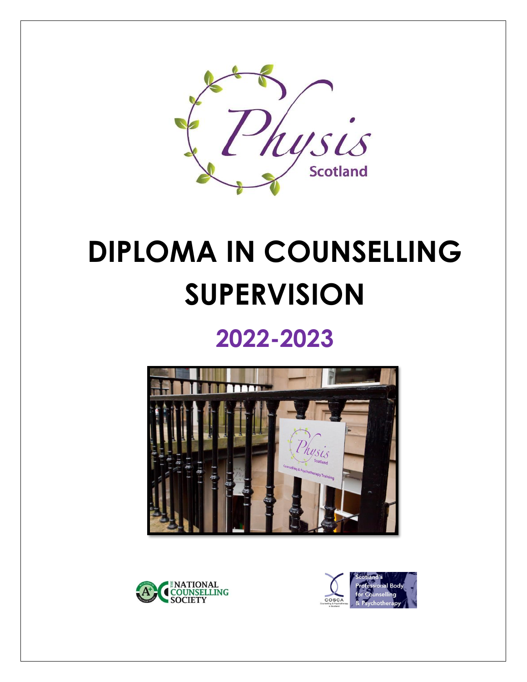

# **DIPLOMA IN COUNSELLING SUPERVISION**

# **2022-2023**





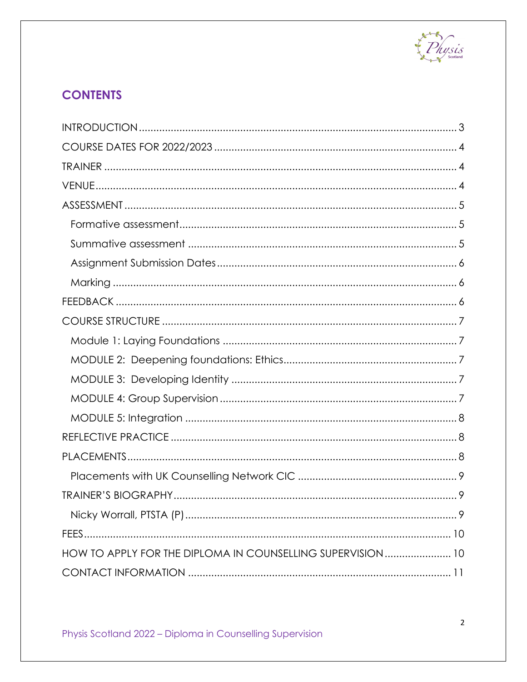

# **CONTENTS**

| HOW TO APPLY FOR THE DIPLOMA IN COUNSELLING SUPERVISION 10 |
|------------------------------------------------------------|
|                                                            |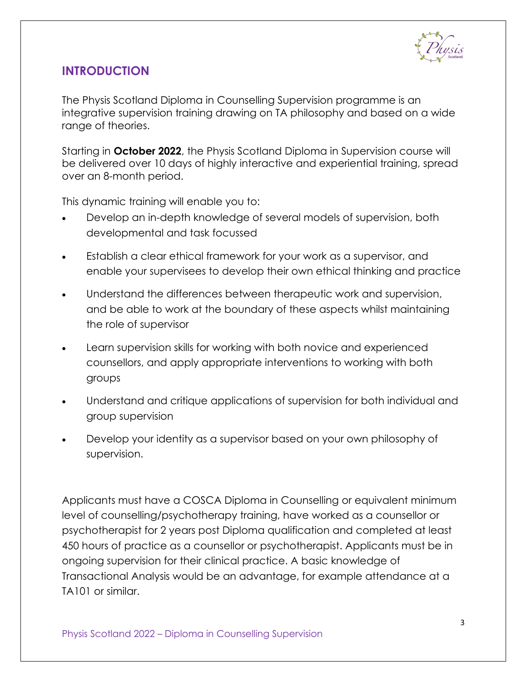

#### <span id="page-2-0"></span>**INTRODUCTION**

The Physis Scotland Diploma in Counselling Supervision programme is an integrative supervision training drawing on TA philosophy and based on a wide range of theories.

Starting in **October 2022**, the Physis Scotland Diploma in Supervision course will be delivered over 10 days of highly interactive and experiential training, spread over an 8-month period.

This dynamic training will enable you to:

- Develop an in-depth knowledge of several models of supervision, both developmental and task focussed
- Establish a clear ethical framework for your work as a supervisor, and enable your supervisees to develop their own ethical thinking and practice
- Understand the differences between therapeutic work and supervision, and be able to work at the boundary of these aspects whilst maintaining the role of supervisor
- Learn supervision skills for working with both novice and experienced counsellors, and apply appropriate interventions to working with both groups
- Understand and critique applications of supervision for both individual and group supervision
- Develop your identity as a supervisor based on your own philosophy of supervision.

Applicants must have a COSCA Diploma in Counselling or equivalent minimum level of counselling/psychotherapy training, have worked as a counsellor or psychotherapist for 2 years post Diploma qualification and completed at least 450 hours of practice as a counsellor or psychotherapist. Applicants must be in ongoing supervision for their clinical practice. A basic knowledge of Transactional Analysis would be an advantage, for example attendance at a TA101 or similar.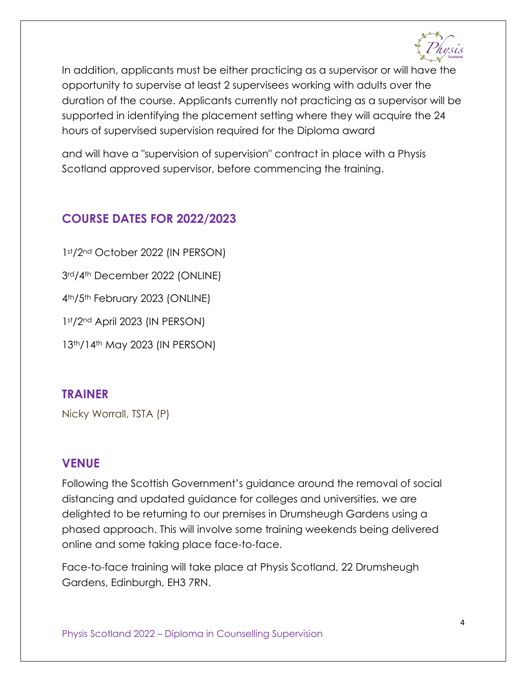

In addition, applicants must be either practicing as a supervisor or will have the opportunity to supervise at least 2 supervisees working with adults over the duration of the course. Applicants currently not practicing as a supervisor will be supported in identifying the placement setting where they will acquire the 24 hours of supervised supervision required for the Diploma award

and will have a "supervision of supervision" contract in place with a Physis Scotland approved supervisor, before commencing the training.

#### <span id="page-3-0"></span>**COURSE DATES FOR 2022/2023**

st/2nd October 2022 (IN PERSON) rd/4th December 2022 (ONLINE) th/5th February 2023 (ONLINE) st/2nd April 2023 (IN PERSON) th/14th May 2023 (IN PERSON)

#### <span id="page-3-1"></span>**TRAINER**

Nicky Worrall, TSTA (P)

#### <span id="page-3-2"></span>**VENUE**

Following the Scottish Government's guidance around the removal of social distancing and updated guidance for colleges and universities, we are delighted to be returning to our premises in Drumsheugh Gardens using a phased approach. This will involve some training weekends being delivered online and some taking place face-to-face.

Face-to-face training will take place at Physis Scotland, 22 Drumsheugh Gardens, Edinburgh, EH3 7RN.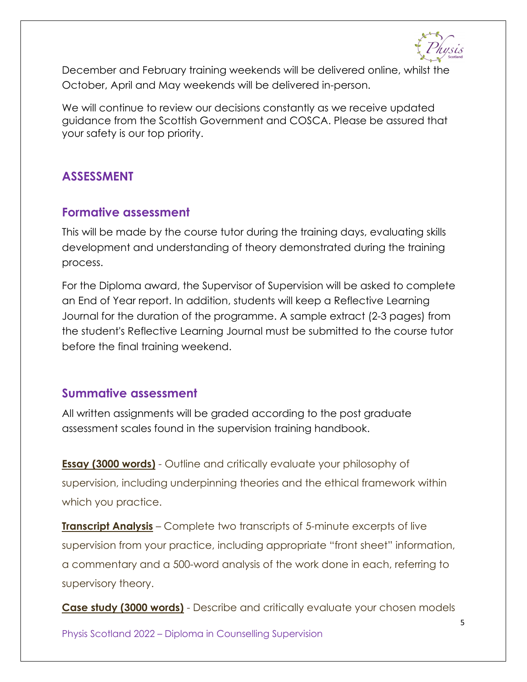December and February training weekends will be delivered online, whilst the October, April and May weekends will be delivered in-person.

We will continue to review our decisions constantly as we receive updated guidance from the Scottish Government and COSCA. Please be assured that your safety is our top priority.

#### <span id="page-4-0"></span>**ASSESSMENT**

#### <span id="page-4-1"></span>**Formative assessment**

This will be made by the course tutor during the training days, evaluating skills development and understanding of theory demonstrated during the training process.

For the Diploma award, the Supervisor of Supervision will be asked to complete an End of Year report. In addition, students will keep a Reflective Learning Journal for the duration of the programme. A sample extract (2-3 pages) from the student's Reflective Learning Journal must be submitted to the course tutor before the final training weekend.

#### <span id="page-4-2"></span>**Summative assessment**

All written assignments will be graded according to the post graduate assessment scales found in the supervision training handbook.

**Essay (3000 words)** - Outline and critically evaluate your philosophy of supervision, including underpinning theories and the ethical framework within which you practice.

**Transcript Analysis** – Complete two transcripts of 5-minute excerpts of live supervision from your practice, including appropriate "front sheet" information, a commentary and a 500-word analysis of the work done in each, referring to supervisory theory.

**Case study (3000 words)** - Describe and critically evaluate your chosen models

Physis Scotland 2022 – Diploma in Counselling Supervision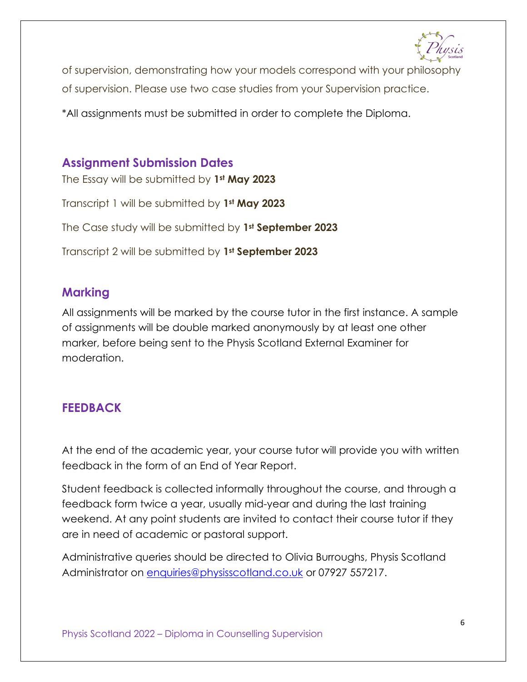

of supervision, demonstrating how your models correspond with your philosophy

of supervision. Please use two case studies from your Supervision practice.

\*All assignments must be submitted in order to complete the Diploma.

# <span id="page-5-0"></span>**Assignment Submission Dates**

The Essay will be submitted by **1st May 2023** Transcript 1 will be submitted by **1st May 2023** The Case study will be submitted by **1st September 2023** Transcript 2 will be submitted by **1st September 2023**

#### <span id="page-5-1"></span>**Marking**

All assignments will be marked by the course tutor in the first instance. A sample of assignments will be double marked anonymously by at least one other marker, before being sent to the Physis Scotland External Examiner for moderation.

# <span id="page-5-2"></span>**FEEDBACK**

At the end of the academic year, your course tutor will provide you with written feedback in the form of an End of Year Report.

Student feedback is collected informally throughout the course, and through a feedback form twice a year, usually mid-year and during the last training weekend. At any point students are invited to contact their course tutor if they are in need of academic or pastoral support.

Administrative queries should be directed to Olivia Burroughs, Physis Scotland Administrator on [enquiries@physisscotland.co.uk](mailto:enquiries@physisscotland.co.uk) or 07927 557217.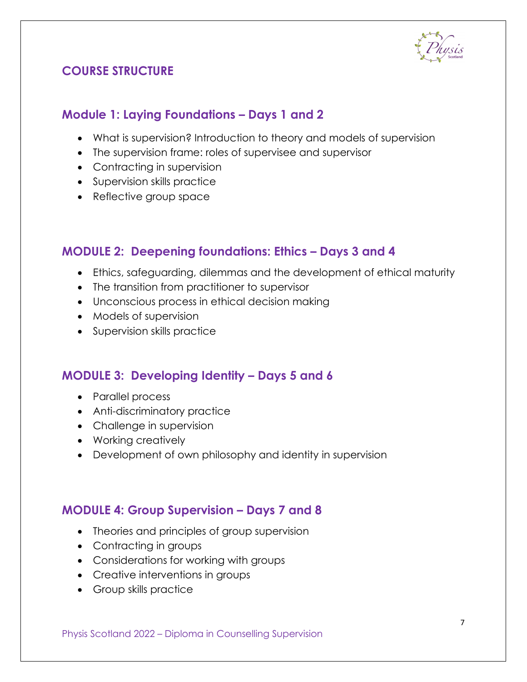

## <span id="page-6-0"></span>**COURSE STRUCTURE**

#### <span id="page-6-1"></span>**Module 1: Laying Foundations – Days 1 and 2**

- What is supervision? Introduction to theory and models of supervision
- The supervision frame: roles of supervisee and supervisor
- Contracting in supervision
- Supervision skills practice
- Reflective group space

#### <span id="page-6-2"></span>**MODULE 2: Deepening foundations: Ethics – Days 3 and 4**

- Ethics, safeguarding, dilemmas and the development of ethical maturity
- The transition from practitioner to supervisor
- Unconscious process in ethical decision making
- Models of supervision
- Supervision skills practice

#### <span id="page-6-3"></span>**MODULE 3: Developing Identity – Days 5 and 6**

- Parallel process
- Anti-discriminatory practice
- Challenge in supervision
- Working creatively
- Development of own philosophy and identity in supervision

#### <span id="page-6-4"></span>**MODULE 4: Group Supervision – Days 7 and 8**

- Theories and principles of group supervision
- Contracting in groups
- Considerations for working with groups
- Creative interventions in groups
- Group skills practice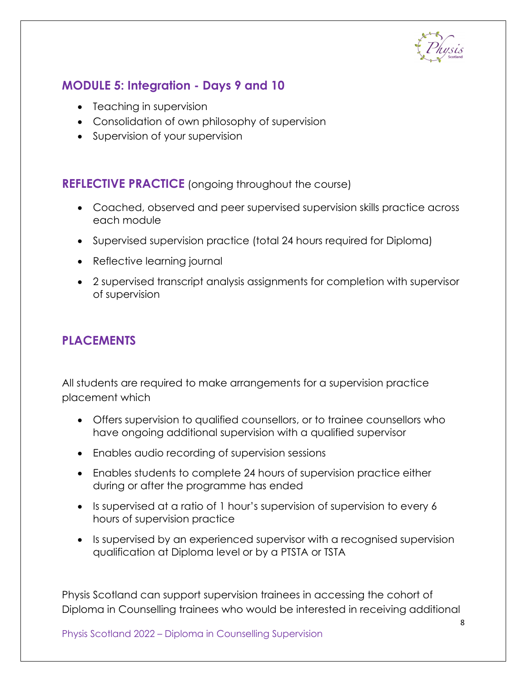

# <span id="page-7-0"></span>**MODULE 5: Integration - Days 9 and 10**

- Teaching in supervision
- Consolidation of own philosophy of supervision
- Supervision of your supervision

#### <span id="page-7-1"></span>**REFLECTIVE PRACTICE** (ongoing throughout the course)

- Coached, observed and peer supervised supervision skills practice across each module
- Supervised supervision practice (total 24 hours required for Diploma)
- Reflective learning journal
- 2 supervised transcript analysis assignments for completion with supervisor of supervision

#### <span id="page-7-2"></span>**PLACEMENTS**

All students are required to make arrangements for a supervision practice placement which

- Offers supervision to qualified counsellors, or to trainee counsellors who have ongoing additional supervision with a qualified supervisor
- Enables audio recording of supervision sessions
- Enables students to complete 24 hours of supervision practice either during or after the programme has ended
- Is supervised at a ratio of 1 hour's supervision of supervision to every 6 hours of supervision practice
- Is supervised by an experienced supervisor with a recognised supervision qualification at Diploma level or by a PTSTA or TSTA

Physis Scotland can support supervision trainees in accessing the cohort of Diploma in Counselling trainees who would be interested in receiving additional

Physis Scotland 2022 – Diploma in Counselling Supervision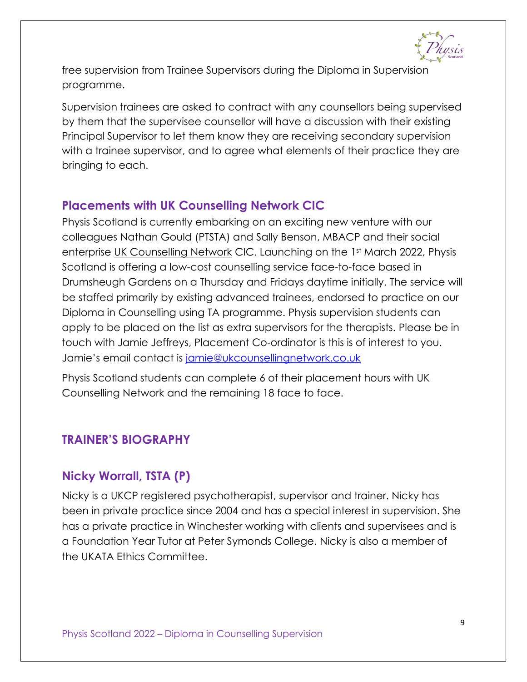free supervision from Trainee Supervisors during the Diploma in Supervision programme.

Supervision trainees are asked to contract with any counsellors being supervised by them that the supervisee counsellor will have a discussion with their existing Principal Supervisor to let them know they are receiving secondary supervision with a trainee supervisor, and to agree what elements of their practice they are bringing to each.

#### <span id="page-8-0"></span>**Placements with UK Counselling Network CIC**

Physis Scotland is currently embarking on an exciting new venture with our colleagues Nathan Gould (PTSTA) and Sally Benson, MBACP and their social enterprise [UK Counselling Network](https://ukcounsellingnetwork.co.uk/) CIC. Launching on the 1st March 2022, Physis Scotland is offering a low-cost counselling service face-to-face based in Drumsheugh Gardens on a Thursday and Fridays daytime initially. The service will be staffed primarily by existing advanced trainees, endorsed to practice on our Diploma in Counselling using TA programme. Physis supervision students can apply to be placed on the list as extra supervisors for the therapists. Please be in touch with Jamie Jeffreys, Placement Co-ordinator is this is of interest to you. Jamie's email contact is [jamie@ukcounsellingnetwork.co.uk](mailto:jamie@ukcounsellingnetwork.co.uk)

Physis Scotland students can complete 6 of their placement hours with UK Counselling Network and the remaining 18 face to face.

#### <span id="page-8-1"></span>**TRAINER'S BIOGRAPHY**

#### <span id="page-8-2"></span>**Nicky Worrall, TSTA (P)**

Nicky is a UKCP registered psychotherapist, supervisor and trainer. Nicky has been in private practice since 2004 and has a special interest in supervision. She has a private practice in Winchester working with clients and supervisees and is a Foundation Year Tutor at Peter Symonds College. Nicky is also a member of the UKATA Ethics Committee.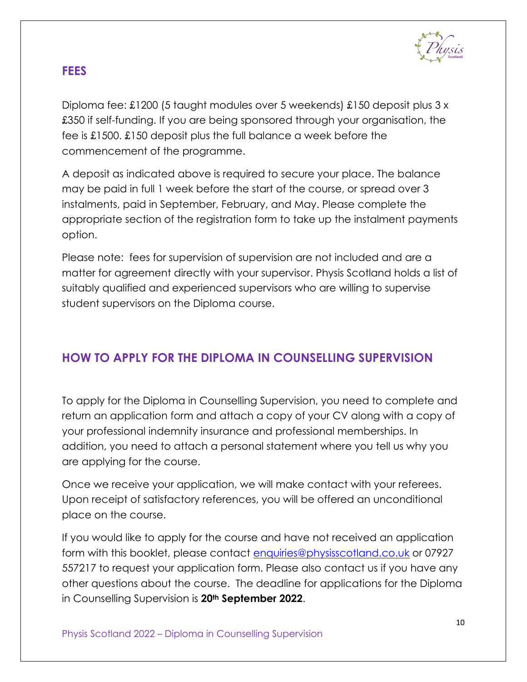

#### <span id="page-9-0"></span>**FEES**

Diploma fee: £1200 (5 taught modules over 5 weekends) £150 deposit plus 3 x £350 if self-funding. If you are being sponsored through your organisation, the fee is £1500. £150 deposit plus the full balance a week before the commencement of the programme.

A deposit as indicated above is required to secure your place. The balance may be paid in full 1 week before the start of the course, or spread over 3 instalments, paid in September, February, and May. Please complete the appropriate section of the registration form to take up the instalment payments option.

Please note: fees for supervision of supervision are not included and are a matter for agreement directly with your supervisor. Physis Scotland holds a list of suitably qualified and experienced supervisors who are willing to supervise student supervisors on the Diploma course.

# <span id="page-9-1"></span>**HOW TO APPLY FOR THE DIPLOMA IN COUNSELLING SUPERVISION**

To apply for the Diploma in Counselling Supervision, you need to complete and return an application form and attach a copy of your CV along with a copy of your professional indemnity insurance and professional memberships. In addition, you need to attach a personal statement where you tell us why you are applying for the course.

Once we receive your application, we will make contact with your referees. Upon receipt of satisfactory references, you will be offered an unconditional place on the course.

If you would like to apply for the course and have not received an application form with this booklet, please contact [enquiries@physisscotland.co.uk](mailto:enquiries@physisscotland.co.uk) or 07927 557217 to request your application form. Please also contact us if you have any other questions about the course. The deadline for applications for the Diploma in Counselling Supervision is **20th September 2022**.